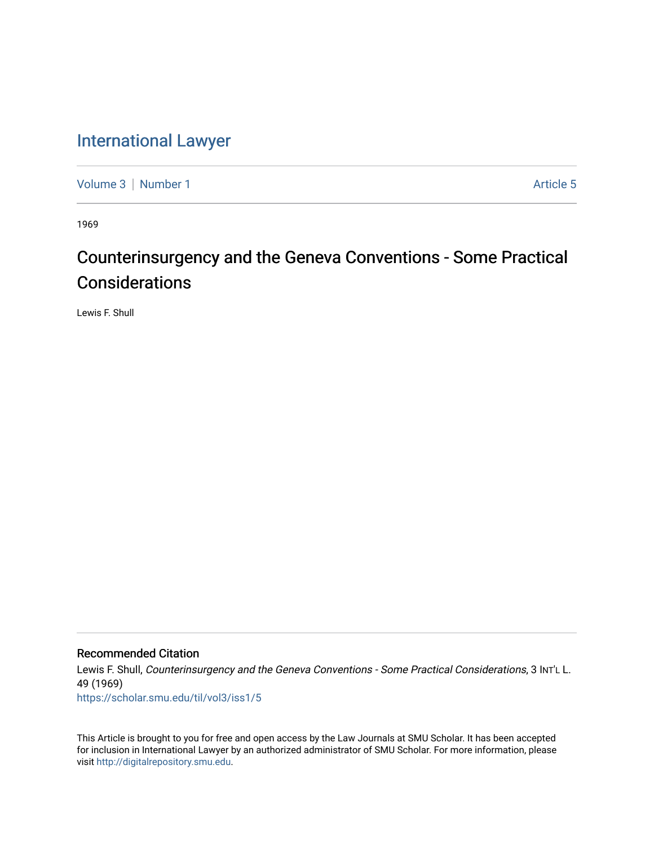## [International Lawyer](https://scholar.smu.edu/til)

[Volume 3](https://scholar.smu.edu/til/vol3) | [Number 1](https://scholar.smu.edu/til/vol3/iss1) Article 5

1969

# Counterinsurgency and the Geneva Conventions - Some Practical **Considerations**

Lewis F. Shull

## Recommended Citation

Lewis F. Shull, Counterinsurgency and the Geneva Conventions - Some Practical Considerations, 3 INT'L L. 49 (1969)

[https://scholar.smu.edu/til/vol3/iss1/5](https://scholar.smu.edu/til/vol3/iss1/5?utm_source=scholar.smu.edu%2Ftil%2Fvol3%2Fiss1%2F5&utm_medium=PDF&utm_campaign=PDFCoverPages) 

This Article is brought to you for free and open access by the Law Journals at SMU Scholar. It has been accepted for inclusion in International Lawyer by an authorized administrator of SMU Scholar. For more information, please visit [http://digitalrepository.smu.edu](http://digitalrepository.smu.edu/).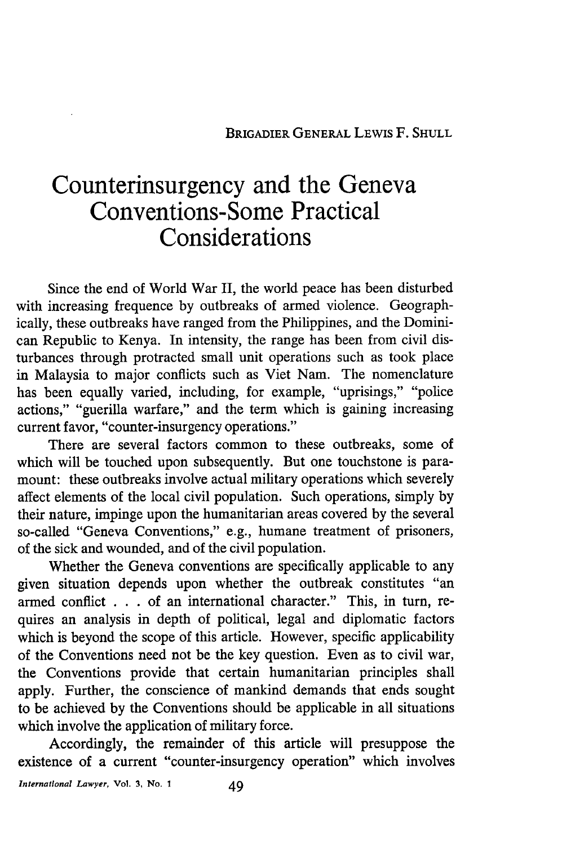## **Counterinsurgency and the Geneva Conventions- Some Practical Considerations**

Since the end of World War II, the world peace has been disturbed with increasing frequence by outbreaks of armed violence. Geographically, these outbreaks have ranged from the Philippines, and the Dominican Republic to Kenya. In intensity, the range has been from civil disturbances through protracted small unit operations such as took place in Malaysia to major conflicts such as Viet Nam. The nomenclature has been equally varied, including, for example, "uprisings," "police actions," "guerilla warfare," and the term which is gaining increasing current favor, "counter-insurgency operations."

There are several factors common to these outbreaks, some of which will be touched upon subsequently. But one touchstone is paramount: these outbreaks involve actual military operations which severely affect elements of the local civil population. Such operations, simply by their nature, impinge upon the humanitarian areas covered by the several so-called "Geneva Conventions," e.g., humane treatment of prisoners, of the sick and wounded, and of the civil population.

Whether the Geneva conventions are specifically applicable to any given situation depends upon whether the outbreak constitutes "an armed conflict . . . of an international character." This, in turn, requires an analysis in depth of political, legal and diplomatic factors which is beyond the scope of this article. However, specific applicability of the Conventions need not be the key question. Even as to civil war, the Conventions provide that certain humanitarian principles shall apply. Further, the conscience of mankind demands that ends sought to be achieved by the Conventions should be applicable in all situations which involve the application of military force.

Accordingly, the remainder of this article will presuppose the existence of a current "counter-insurgency operation" which involves

*International Lawyer,* **Vol. 3, No. I** *49*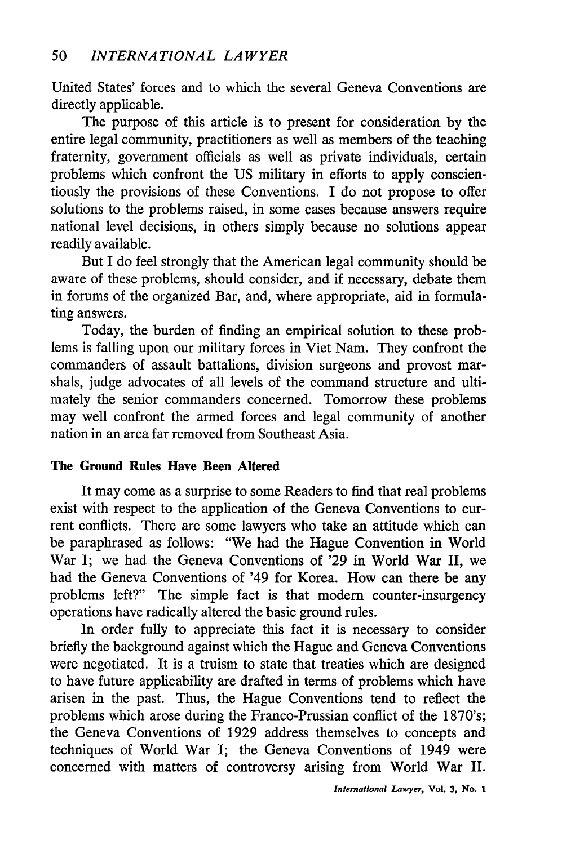United States' forces and to which the several Geneva Conventions are directly applicable.

The purpose of this article is to present for consideration by the entire legal community, practitioners as well as members of the teaching fraternity, government officials as well as private individuals, certain problems which confront the US military in efforts to apply conscientiously the provisions of these Conventions. I do not propose to offer solutions to the problems raised, in some cases because answers require national level decisions, in others simply because no solutions appear readily available.

But I do feel strongly that the American legal community should be aware of these problems, should consider, and if necessary, debate them in forums of the organized Bar, and, where appropriate, aid in formulating answers.

Today, the burden of finding an empirical solution to these problems is falling upon our military forces in Viet Nam. They confront the commanders of assault battalions, division surgeons and provost marshals, judge advocates of all levels of the command structure and ultimately the senior commanders concerned. Tomorrow these problems may well confront the armed forces and legal community of another nation in an area far removed from Southeast Asia.

### **The Ground Rules Have Been Altered**

It may come as a surprise to some Readers to find that real problems exist with respect to the application of the Geneva Conventions to current conflicts. There are some lawyers who take an attitude which can be paraphrased as follows: "We had the Hague Convention in World War I; we had the Geneva Conventions of '29 in World War II, we had the Geneva Conventions of '49 for Korea. How can there be any problems left?" The simple fact is that modern counter-insurgency operations have radically altered the basic ground rules.

In order fully to appreciate this fact it is necessary to consider briefly the background against which the Hague and Geneva Conventions were negotiated. It is a truism to state that treaties which are designed to have future applicability are drafted in terms of problems which have arisen in the past. Thus, the Hague Conventions tend to reflect the problems which arose during the Franco-Prussian conflict of the 1870's; the Geneva Conventions of 1929 address themselves to concepts and techniques of World War I; the Geneva Conventions of 1949 were concerned with matters of controversy arising from World War II.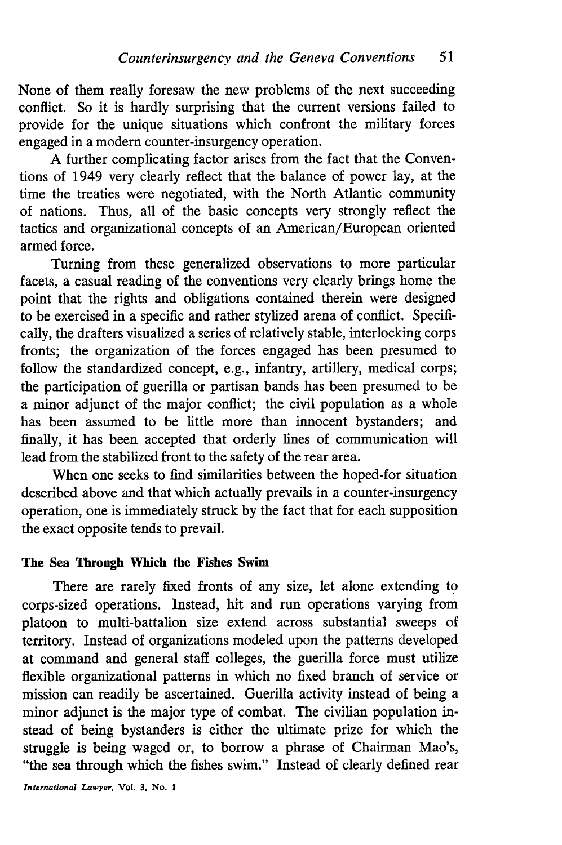None of them really foresaw the new problems of the next succeeding conflict. So it is hardly surprising that the current versions failed to provide for the unique situations which confront the military forces engaged in a modern counter-insurgency operation.

A further complicating factor arises from the fact that the Conventions of 1949 very clearly reflect that the balance of power lay, at the time the treaties were negotiated, with the North Atlantic community of nations. Thus, all of the basic concepts very strongly reflect the tactics and organizational concepts of an American/European oriented armed force.

Turning from these generalized observations to more particular facets, a casual reading of the conventions very clearly brings home the point that the rights and obligations contained therein were designed to be exercised in a specific and rather stylized arena of conflict. Specifically, the drafters visualized a series of relatively stable, interlocking corps fronts; the organization of the forces engaged has been presumed to follow the standardized concept, e.g., infantry, artillery, medical corps; the participation of guerilla or partisan bands has been presumed to be a minor adjunct of the major conflict; the civil population as a whole has been assumed to be little more than innocent bystanders; and finally, it has been accepted that orderly lines of communication will lead from the stabilized front to the safety of the rear area.

When one seeks to find similarities between the hoped-for situation described above and that which actually prevails in a counter-insurgency operation, one is immediately struck by the fact that for each supposition the exact opposite tends to prevail.

#### **The** Sea Through Which the **Fishes Swim**

There are rarely fixed fronts of any size, let alone extending to corps-sized operations. Instead, hit and run operations varying from platoon to multi-battalion size extend across substantial sweeps of territory. Instead of organizations modeled upon the patterns developed at command and general staff colleges, the guerilla force must utilize flexible organizational patterns in which no fixed branch of service or mission can readily be ascertained. Guerilla activity instead of being a minor adjunct is the major type of combat. The civilian population instead of being bystanders is either the ultimate prize for which the struggle is being waged or, to borrow a phrase of Chairman Mao's, "the sea through which the fishes swim." Instead of clearly defined rear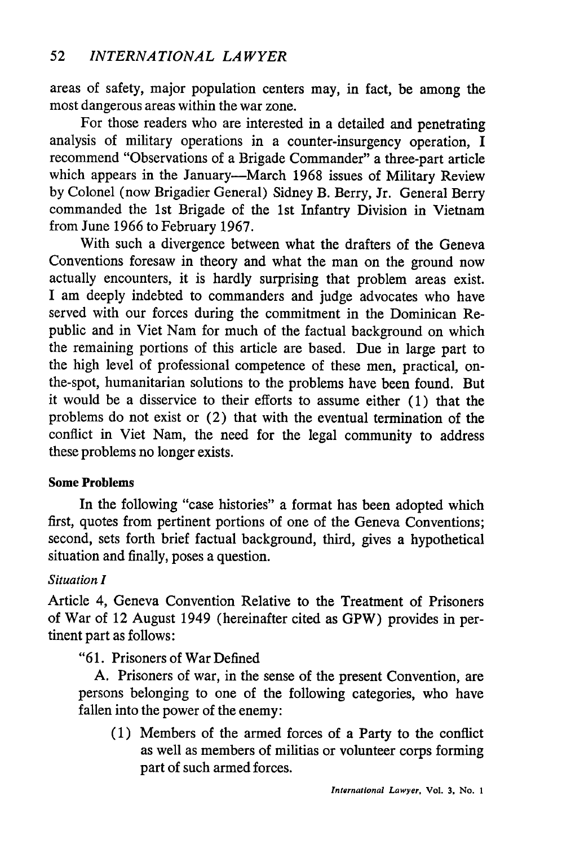areas of safety, major population centers may, in fact, be among the most dangerous areas within the war zone.

For those readers who are interested in a detailed and penetrating analysis of military operations in a counter-insurgency operation, I recommend "Observations of a Brigade Commander" a three-part article which appears in the January---March 1968 issues of Military Review by Colonel (now Brigadier General) Sidney B. Berry, Jr. General Berry commanded the 1st Brigade of the 1st Infantry Division in Vietnam from June 1966 to February 1967.

With such a divergence between what the drafters of the Geneva Conventions foresaw in theory and what the man on the ground now actually encounters, it is hardly surprising that problem areas exist. I am deeply indebted to commanders and judge advocates who have served with our forces during the commitment in the Dominican Republic and in Viet Nam for much of the factual background on which the remaining portions of this article are based. Due in large part to the high level of professional competence of these men, practical, onthe-spot, humanitarian solutions to the problems have been found. But it would be a disservice to their efforts to assume either (1) that the problems do not exist or (2) that with the eventual termination of the conflict in Viet Nam, the need for the legal community to address these problems no longer exists.

### Some **Problems**

In the following "case histories" a format has been adopted which first, quotes from pertinent portions of one of the Geneva Conventions; second, sets forth brief factual background, third, gives a hypothetical situation and finally, poses a question.

## *Situation I*

Article 4, Geneva Convention Relative to the Treatment of Prisoners of War of 12 August 1949 (hereinafter cited as GPW) provides in pertinent part as follows:

"61. Prisoners of War Defined

A. Prisoners of war, in the sense of the present Convention, are persons belonging to one of the following categories, who have fallen into the power of the enemy:

(1) Members of the armed forces of a Party to the conflict as well as members of militias or volunteer corps forming part of such armed forces.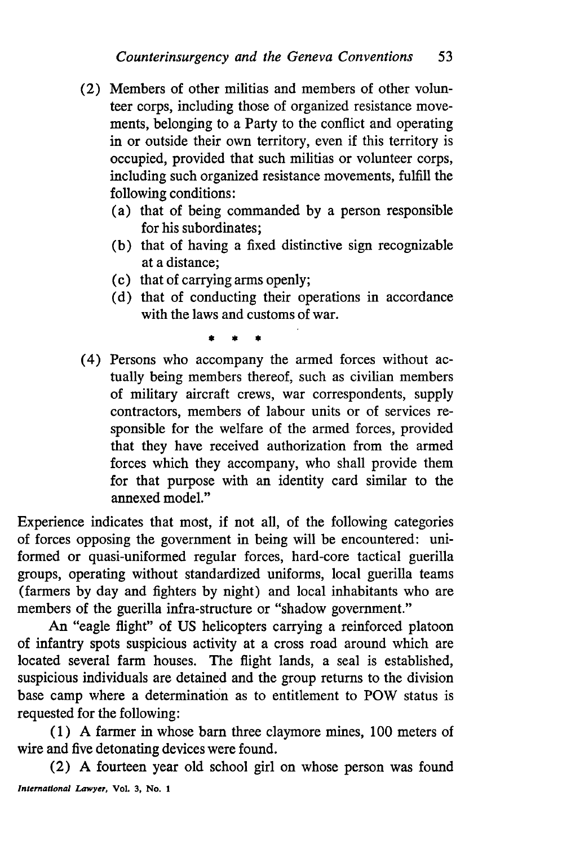- (2) Members of other militias and members of other volunteer corps, including those of organized resistance movements, belonging to a Party to the conflict and operating in or outside their own territory, even if this territory is occupied, provided that such militias or volunteer corps, including such organized resistance movements, fulfill the following conditions:
	- (a) that of being commanded by a person responsible for his subordinates;
	- (b) that of having a fixed distinctive sign recognizable at a distance;
	- (c) that of carrying arms openly;
	- (d) that of conducting their operations in accordance with the laws and customs of war.

(4) Persons who accompany the armed forces without actually being members thereof, such as civilian members of military aircraft crews, war correspondents, supply contractors, members of labour units or of services responsible for the welfare of the armed forces, provided that they have received authorization from the armed forces which they accompany, who shall provide them for that purpose with an identity card similar to the annexed model."

Experience indicates that most, if not all, of the following categories of forces opposing the government in being will be encountered: uniformed or quasi-uniformed regular forces, hard-core tactical guerilla groups, operating without standardized uniforms, local guerilla teams (farmers by day and fighters by night) and local inhabitants who are members of the guerilla infra-structure or "shadow government."

An "eagle flight" of US helicopters carrying a reinforced platoon of infantry spots suspicious activity at a cross road around which are located several farm houses. The flight lands, a seal is established, suspicious individuals are detained and the group returns to the division base camp where a determination as to entitlement to POW status is requested for the following:

(1) A farmer in whose barn three claymore mines, 100 meters of wire and five detonating devices were found.

(2) A fourteen year old school girl on whose person was found *International Lawyer,* **Vol. 3, No. 1**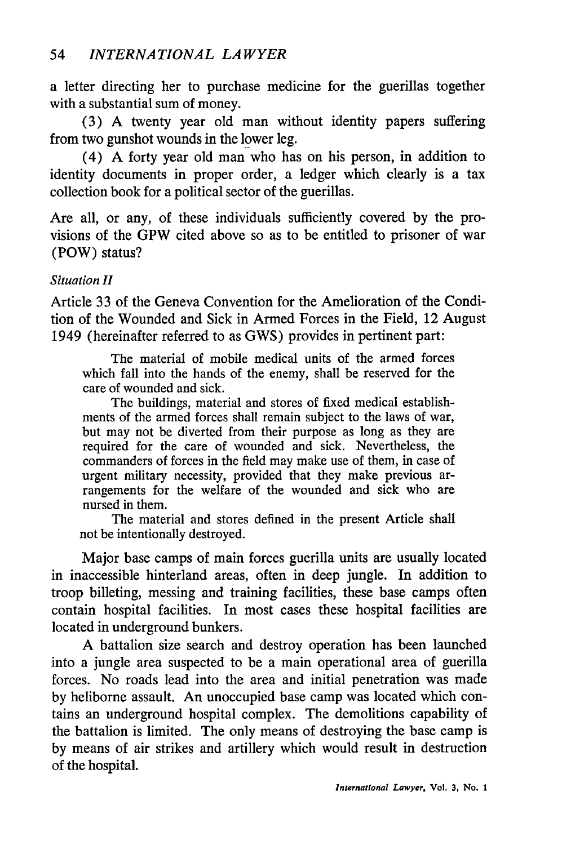a letter directing her to purchase medicine for the guerillas together with a substantial sum of money.

(3) A twenty year old man without identity papers suffering from two gunshot wounds in the lower leg.

(4) A forty year old man who has on his person, in addition to identity documents in proper order, a ledger which clearly is a tax collection book for a political sector of the guerillas.

Are all, or any, of these individuals sufficiently covered by the provisions of the GPW cited above so as to be entitled to prisoner of war (POW) status?

## *Situation H*

Article 33 of the Geneva Convention for the Amelioration of the Condition of the Wounded and Sick in Armed Forces in the Field, 12 August 1949 (hereinafter referred to as GWS) provides in pertinent part:

The material of mobile medical units of the armed forces which fall into the hands of the enemy, shall be reserved for the care of wounded and sick.

The buildings, material and stores of fixed medical establishments of the armed forces shall remain subject to the laws of war, but may not be diverted from their purpose as long as they are required for the care of wounded and sick. Nevertheless, the commanders of forces in the field may make use of them, in case of urgent military necessity, provided that they make previous arrangements for the welfare of the wounded and sick who are nursed in them.

The material and stores defined in the present Article shall not be intentionally destroyed.

Major base camps of main forces guerilla units are usually located in inaccessible hinterland areas, often in deep jungle. In addition to troop billeting, messing and training facilities, these base camps often contain hospital facilities. In most cases these hospital facilities are located in underground bunkers.

A battalion size search and destroy operation has been launched into a jungle area suspected to be a main operational area of guerilla forces. No roads lead into the area and initial penetration was made by heliborne assault. An unoccupied base camp was located which contains an underground hospital complex. The demolitions capability of the battalion is limited. The only means of destroying the base camp is by means of air strikes and artillery which would result in destruction of the hospital.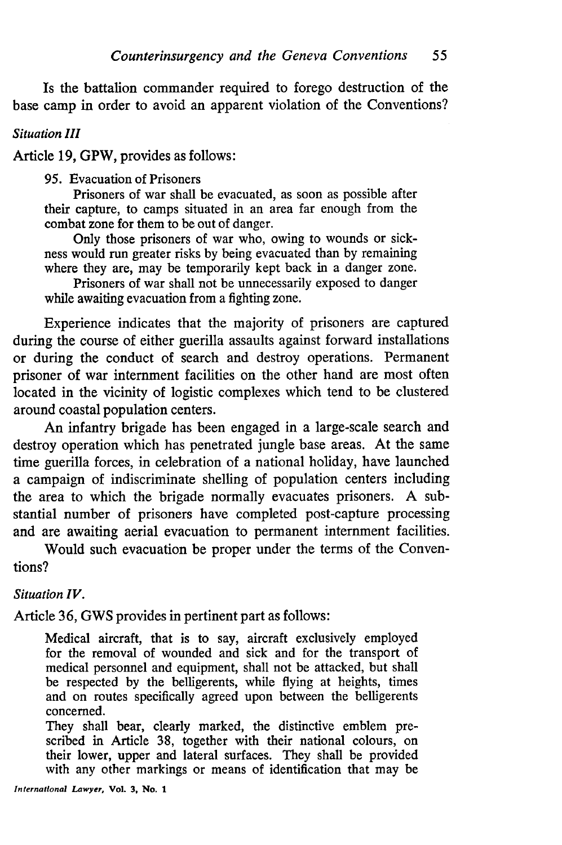Is the battalion commander required to forego destruction of the base camp in order to avoid an apparent violation of the Conventions?

#### *Situation III*

Article 19, GPW, provides as follows:

95. Evacuation of Prisoners

Prisoners of war shall be evacuated, as soon as possible after their capture, to camps situated in an area far enough from the combat zone for them to be out of danger.

Only those prisoners of war who, owing to wounds or sickness would run greater risks by being evacuated than by remaining where they are, may be temporarily kept back in a danger zone.

Prisoners of war shall not be unnecessarily exposed to danger while awaiting evacuation from a fighting zone.

Experience indicates that the majority of prisoners are captured during the course of either guerilla assaults against forward installations or during the conduct of search and destroy operations. Permanent prisoner of war internment facilities on the other hand are most often located in the vicinity of logistic complexes which tend to be clustered around coastal population centers.

An infantry brigade has been engaged in a large-scale search and destroy operation which has penetrated jungle base areas. At the same time guerilla forces, in celebration of a national holiday, have launched a campaign of indiscriminate shelling of population centers including the area to which the brigade normally evacuates prisoners. A substantial number of prisoners have completed post-capture processing and are awaiting aerial evacuation to permanent internment facilities.

Would such evacuation be proper under the terms of the Conventions?

*Situation IV.*

Article 36, GWS provides in pertinent part as follows:

Medical aircraft, that is to say, aircraft exclusively employed for the removal of wounded and sick and for the transport of medical personnel and equipment, shall not be attacked, but shall be respected by the belligerents, while flying at heights, times and on routes specifically agreed upon between the belligerents concerned.

They shall bear, clearly marked, the distinctive emblem prescribed in Article 38, together with their national colours, on their lower, upper and lateral surfaces. They shall be provided with any other markings or means of identification that may be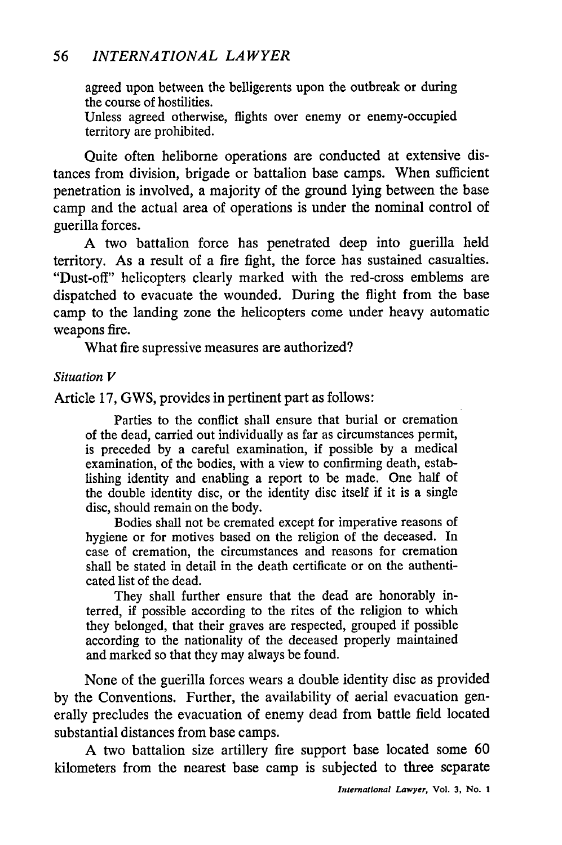## *56 INTERNATIONAL LAWYER*

agreed upon between the belligerents upon the outbreak or during the course of hostilities.

Unless agreed otherwise, flights over enemy or enemy-occupied territory are prohibited.

Quite often heliborne operations are conducted at extensive distances from division, brigade or battalion base camps. When sufficient penetration is involved, a majority of the ground lying between the base camp and the actual area of operations is under the nominal control of guerilla forces.

A two battalion force has penetrated deep into guerilla held territory. As a result of a fire fight, the force has sustained casualties. "Dust-off" helicopters clearly marked with the red-cross emblems are dispatched to evacuate the wounded. During the flight from the base camp to the landing zone the helicopters come under heavy automatic weapons fire.

What fire supressive measures are authorized?

#### *Situation V*

Article 17, GWS, provides in pertinent part as follows:

Parties to the conflict shall ensure that burial or cremation of the dead, carried out individually as far as circumstances permit, is preceded by a careful examination, if possible by a medical examination, of the bodies, with a view to confirming death, establishing identity and enabling a report to be made. One half of the double identity disc, or the identity disc itself if it is a single disc, should remain on the body.

Bodies shall not be cremated except for imperative reasons of hygiene or for motives based on the religion of the deceased. In case of cremation, the circumstances and reasons for cremation shall be stated in detail in the death certificate or on the authenticated list of the dead.

They shall further ensure that the dead are honorably interred, if possible according to the rites of the religion to which they belonged, that their graves are respected, grouped if possible according to the nationality of the deceased properly maintained and marked so that they may always be found.

None of the guerilla forces wears a double identity disc as provided by the Conventions. Further, the availability of aerial evacuation generally precludes the evacuation of enemy dead from battle field located substantial distances from base camps.

A two battalion size artillery fire support base located some 60 kilometers from the nearest base camp is subjected to three separate